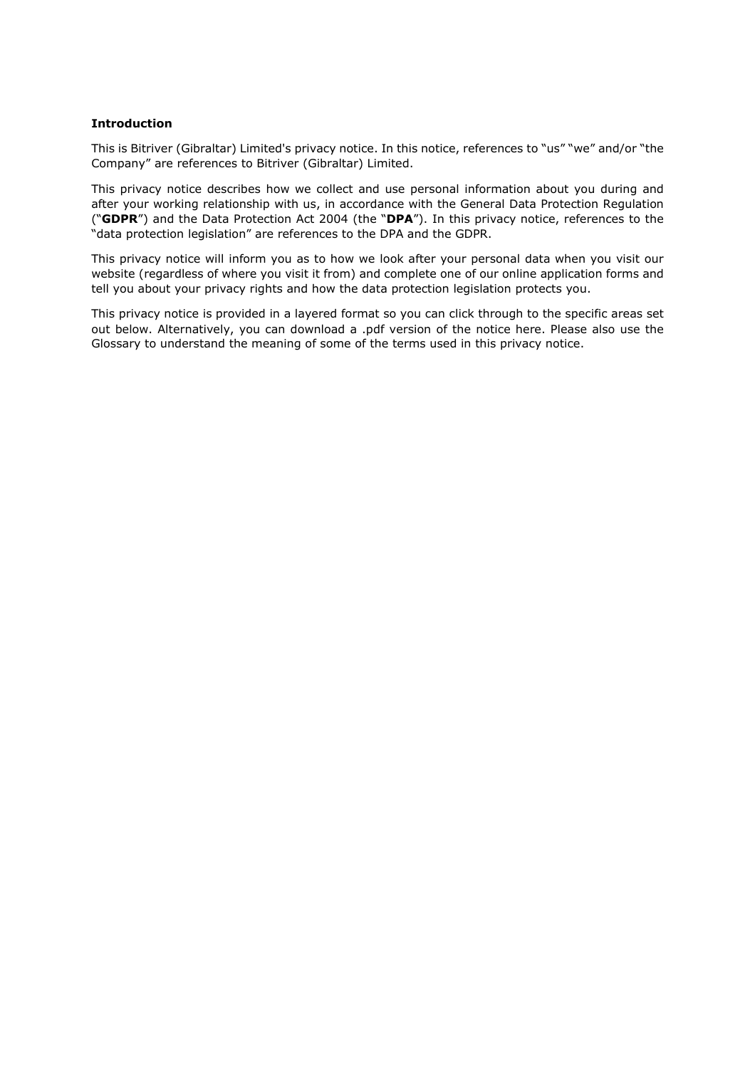### **Introduction**

This is Bitriver (Gibraltar) Limited's privacy notice. In this notice, references to "us" "we" and/or "the Company" are references to Bitriver (Gibraltar) Limited.

This privacy notice describes how we collect and use personal information about you during and after your working relationship with us, in accordance with the General Data Protection Regulation ("**GDPR**") and the Data Protection Act 2004 (the "**DPA**"). In this privacy notice, references to the "data protection legislation" are references to the DPA and the GDPR.

This privacy notice will inform you as to how we look after your personal data when you visit our website (regardless of where you visit it from) and complete one of our online application forms and tell you about your privacy rights and how the data protection legislation protects you.

This privacy notice is provided in a layered format so you can click through to the specific areas set out below. Alternatively, you can download a .pdf version of the notice here. Please also use the Glossary to understand the meaning of some of the terms used in this privacy notice.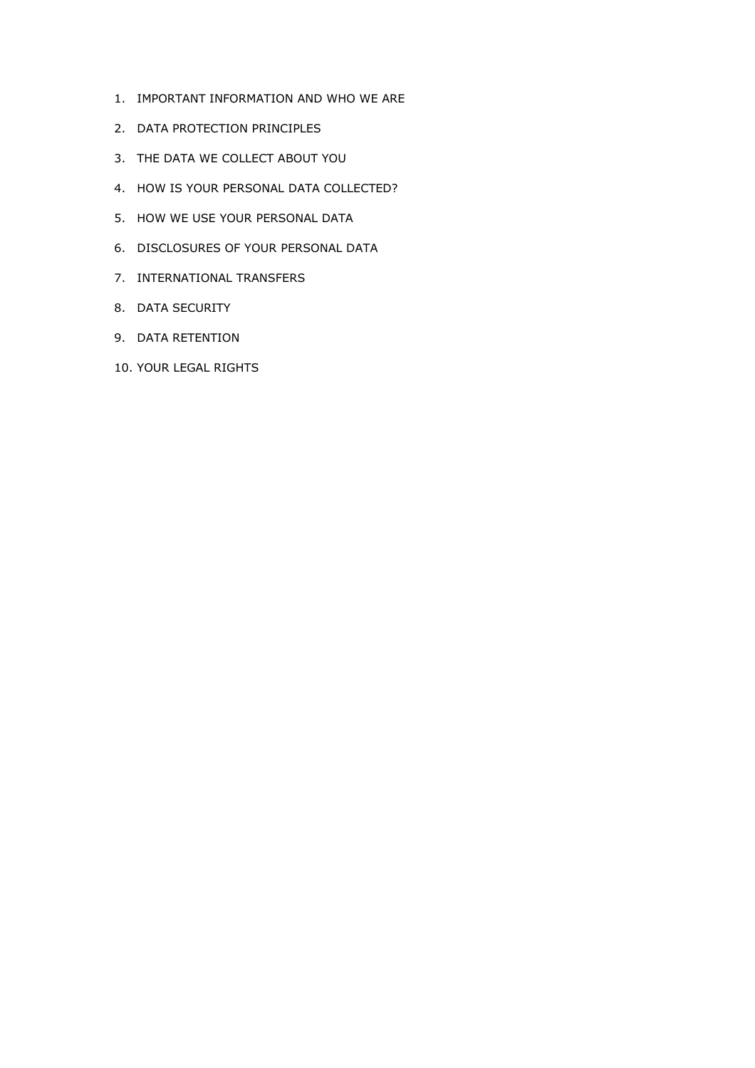- 1. IMPORTANT INFORMATION AND WHO WE ARE
- 2. DATA PROTECTION PRINCIPLES
- 3. THE DATA WE COLLECT ABOUT YOU
- 4. HOW IS YOUR PERSONAL DATA COLLECTED?
- 5. HOW WE USE YOUR PERSONAL DATA
- 6. DISCLOSURES OF YOUR PERSONAL DATA
- 7. INTERNATIONAL TRANSFERS
- 8. DATA SECURITY
- 9. DATA RETENTION
- 10. YOUR LEGAL RIGHTS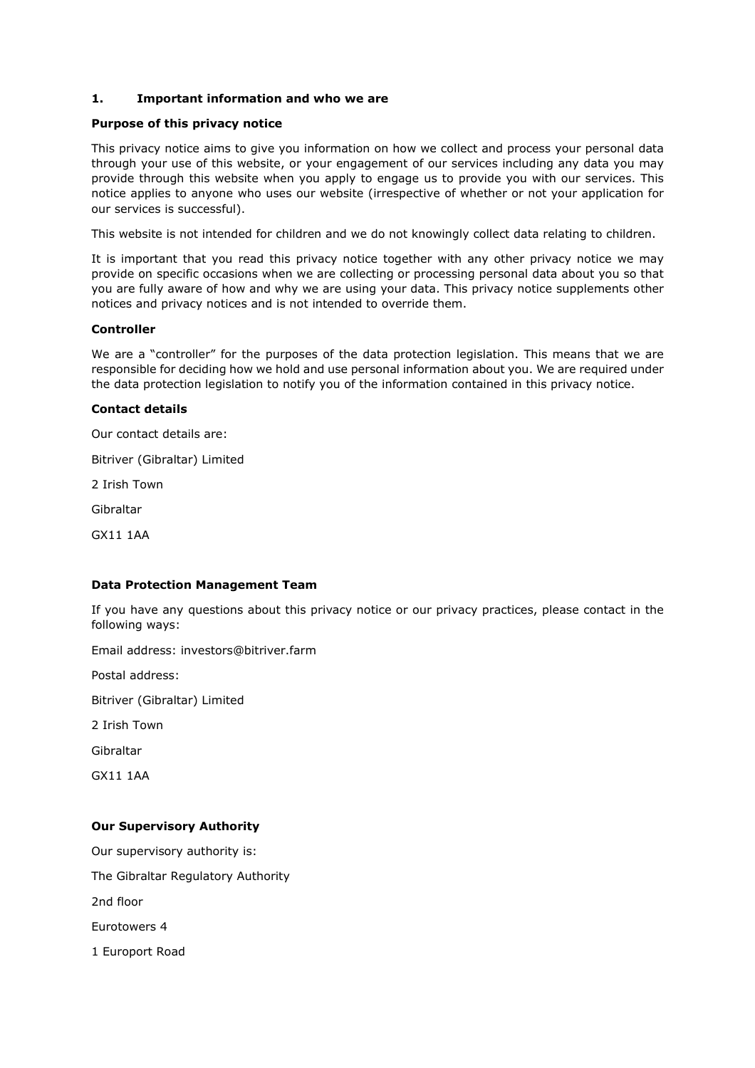### **1. Important information and who we are**

#### **Purpose of this privacy notice**

This privacy notice aims to give you information on how we collect and process your personal data through your use of this website, or your engagement of our services including any data you may provide through this website when you apply to engage us to provide you with our services. This notice applies to anyone who uses our website (irrespective of whether or not your application for our services is successful).

This website is not intended for children and we do not knowingly collect data relating to children.

It is important that you read this privacy notice together with any other privacy notice we may provide on specific occasions when we are collecting or processing personal data about you so that you are fully aware of how and why we are using your data. This privacy notice supplements other notices and privacy notices and is not intended to override them.

### **Controller**

We are a "controller" for the purposes of the data protection legislation. This means that we are responsible for deciding how we hold and use personal information about you. We are required under the data protection legislation to notify you of the information contained in this privacy notice.

### **Contact details**

Our contact details are:

Bitriver (Gibraltar) Limited

2 Irish Town

Gibraltar

GX11 1AA

### **Data Protection Management Team**

If you have any questions about this privacy notice or our privacy practices, please contact in the following ways:

Email address: investors@bitriver.farm

Postal address:

Bitriver (Gibraltar) Limited

2 Irish Town

Gibraltar

GX11 1AA

### **Our Supervisory Authority**

Our supervisory authority is: The Gibraltar Regulatory Authority 2nd floor Eurotowers 4 1 Europort Road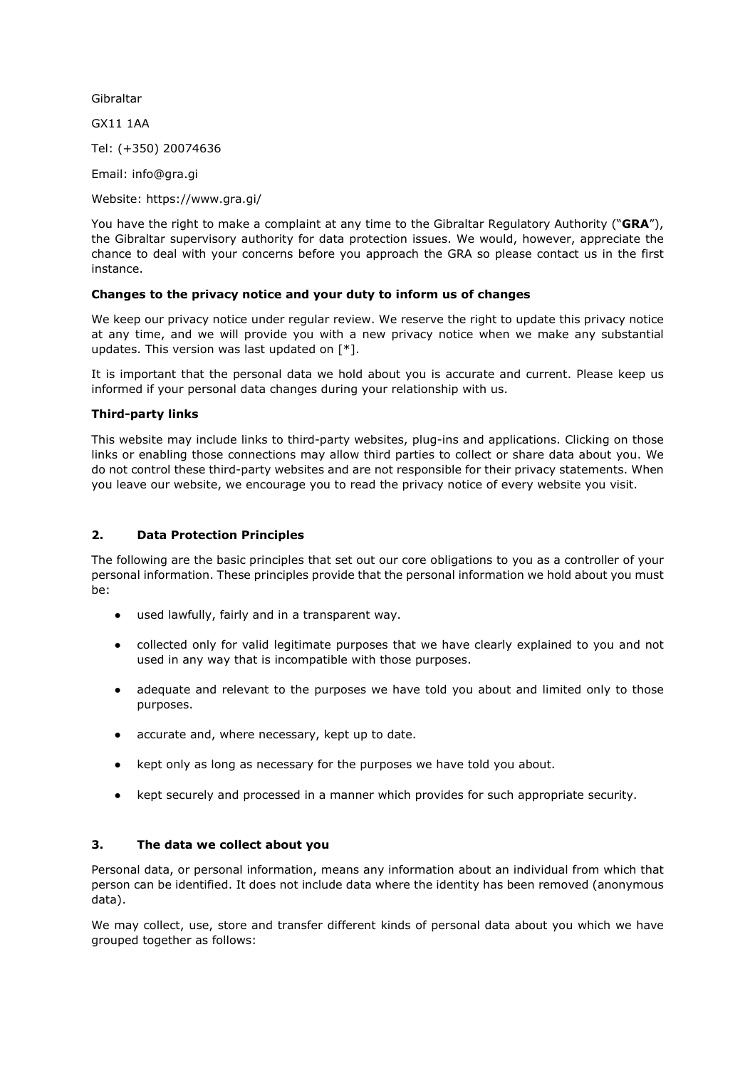Gibraltar

GX11 1AA

Tel: (+350) 20074636

Email: info@gra.gi

Website: https://www.gra.gi/

You have the right to make a complaint at any time to the Gibraltar Regulatory Authority ("**GRA**"), the Gibraltar supervisory authority for data protection issues. We would, however, appreciate the chance to deal with your concerns before you approach the GRA so please contact us in the first instance.

### **Changes to the privacy notice and your duty to inform us of changes**

We keep our privacy notice under regular review. We reserve the right to update this privacy notice at any time, and we will provide you with a new privacy notice when we make any substantial updates. This version was last updated on [\*].

It is important that the personal data we hold about you is accurate and current. Please keep us informed if your personal data changes during your relationship with us.

### **Third-party links**

This website may include links to third-party websites, plug-ins and applications. Clicking on those links or enabling those connections may allow third parties to collect or share data about you. We do not control these third-party websites and are not responsible for their privacy statements. When you leave our website, we encourage you to read the privacy notice of every website you visit.

## **2. Data Protection Principles**

The following are the basic principles that set out our core obligations to you as a controller of your personal information. These principles provide that the personal information we hold about you must be:

- used lawfully, fairly and in a transparent way.
- collected only for valid legitimate purposes that we have clearly explained to you and not used in any way that is incompatible with those purposes.
- adequate and relevant to the purposes we have told you about and limited only to those purposes.
- accurate and, where necessary, kept up to date.
- kept only as long as necessary for the purposes we have told you about.
- kept securely and processed in a manner which provides for such appropriate security.

## **3. The data we collect about you**

Personal data, or personal information, means any information about an individual from which that person can be identified. It does not include data where the identity has been removed (anonymous data).

We may collect, use, store and transfer different kinds of personal data about you which we have grouped together as follows: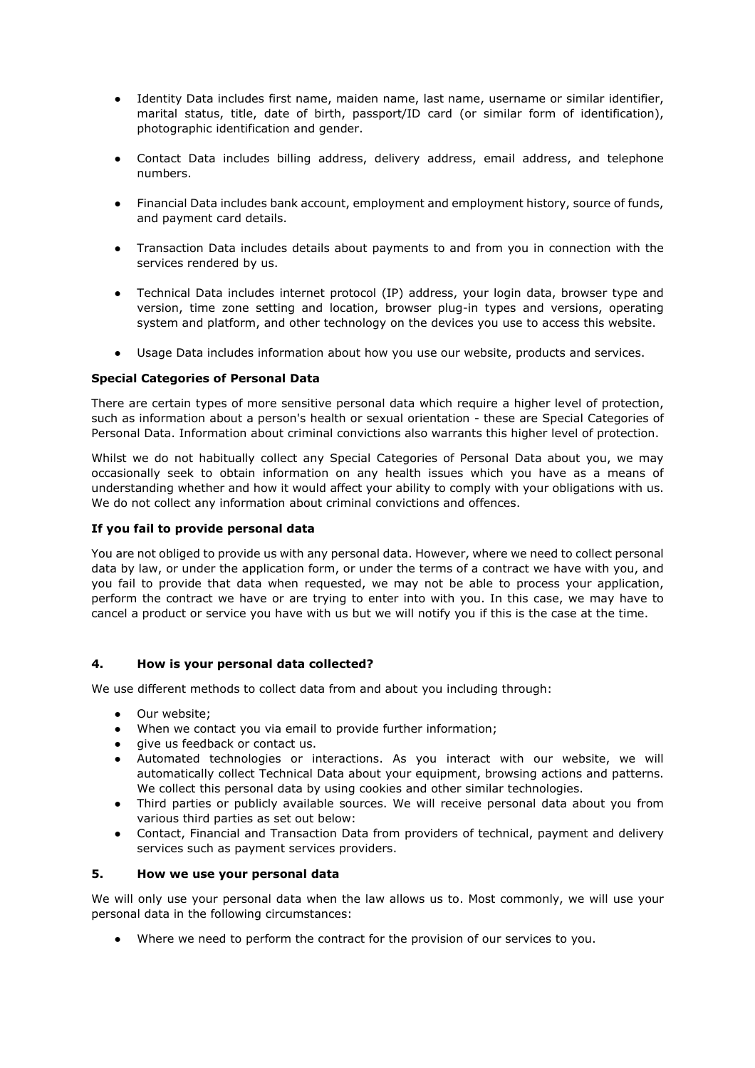- Identity Data includes first name, maiden name, last name, username or similar identifier, marital status, title, date of birth, passport/ID card (or similar form of identification), photographic identification and gender.
- Contact Data includes billing address, delivery address, email address, and telephone numbers.
- Financial Data includes bank account, employment and employment history, source of funds, and payment card details.
- Transaction Data includes details about payments to and from you in connection with the services rendered by us.
- Technical Data includes internet protocol (IP) address, your login data, browser type and version, time zone setting and location, browser plug-in types and versions, operating system and platform, and other technology on the devices you use to access this website.
- Usage Data includes information about how you use our website, products and services.

### **Special Categories of Personal Data**

There are certain types of more sensitive personal data which require a higher level of protection, such as information about a person's health or sexual orientation - these are Special Categories of Personal Data. Information about criminal convictions also warrants this higher level of protection.

Whilst we do not habitually collect any Special Categories of Personal Data about you, we may occasionally seek to obtain information on any health issues which you have as a means of understanding whether and how it would affect your ability to comply with your obligations with us. We do not collect any information about criminal convictions and offences.

### **If you fail to provide personal data**

You are not obliged to provide us with any personal data. However, where we need to collect personal data by law, or under the application form, or under the terms of a contract we have with you, and you fail to provide that data when requested, we may not be able to process your application, perform the contract we have or are trying to enter into with you. In this case, we may have to cancel a product or service you have with us but we will notify you if this is the case at the time.

### **4. How is your personal data collected?**

We use different methods to collect data from and about you including through:

- Our website;
- When we contact you via email to provide further information;
- give us feedback or contact us.
- Automated technologies or interactions. As you interact with our website, we will automatically collect Technical Data about your equipment, browsing actions and patterns. We collect this personal data by using cookies and other similar technologies.
- Third parties or publicly available sources. We will receive personal data about you from various third parties as set out below:
- Contact, Financial and Transaction Data from providers of technical, payment and delivery services such as payment services providers.

### **5. How we use your personal data**

We will only use your personal data when the law allows us to. Most commonly, we will use your personal data in the following circumstances:

● Where we need to perform the contract for the provision of our services to you.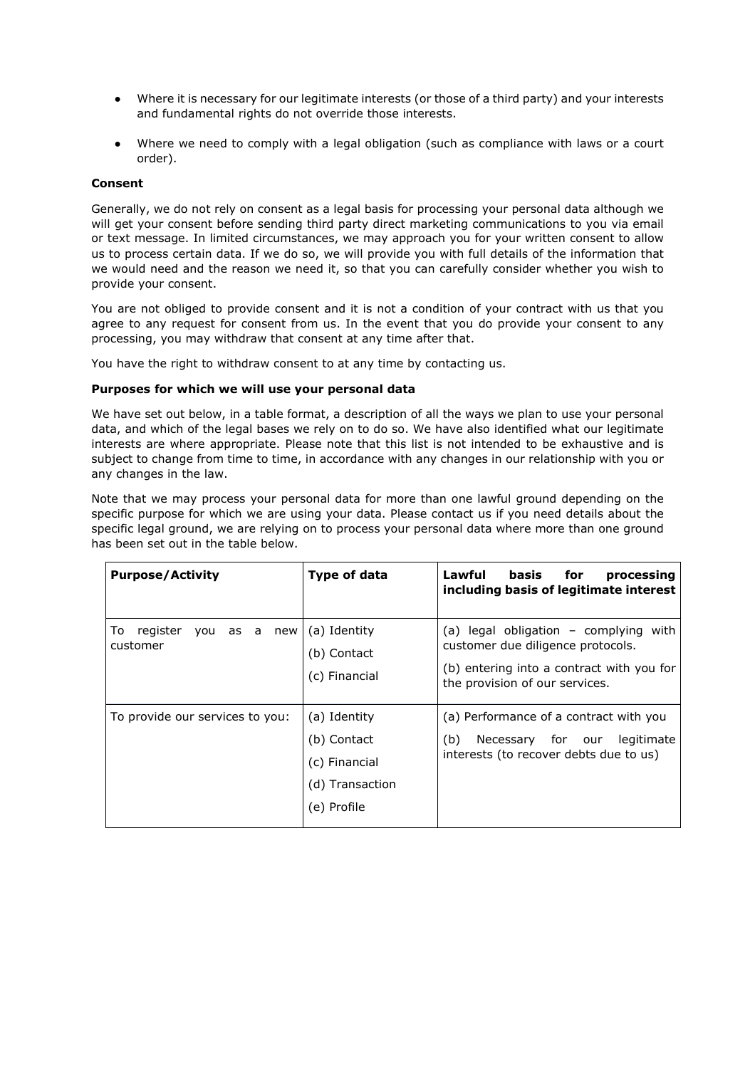- Where it is necessary for our legitimate interests (or those of a third party) and your interests and fundamental rights do not override those interests.
- Where we need to comply with a legal obligation (such as compliance with laws or a court order).

### **Consent**

Generally, we do not rely on consent as a legal basis for processing your personal data although we will get your consent before sending third party direct marketing communications to you via email or text message. In limited circumstances, we may approach you for your written consent to allow us to process certain data. If we do so, we will provide you with full details of the information that we would need and the reason we need it, so that you can carefully consider whether you wish to provide your consent.

You are not obliged to provide consent and it is not a condition of your contract with us that you agree to any request for consent from us. In the event that you do provide your consent to any processing, you may withdraw that consent at any time after that.

You have the right to withdraw consent to at any time by contacting us.

### **Purposes for which we will use your personal data**

We have set out below, in a table format, a description of all the ways we plan to use your personal data, and which of the legal bases we rely on to do so. We have also identified what our legitimate interests are where appropriate. Please note that this list is not intended to be exhaustive and is subject to change from time to time, in accordance with any changes in our relationship with you or any changes in the law.

Note that we may process your personal data for more than one lawful ground depending on the specific purpose for which we are using your data. Please contact us if you need details about the specific legal ground, we are relying on to process your personal data where more than one ground has been set out in the table below.

| <b>Purpose/Activity</b>                    | Type of data                                                                   | Lawful<br>basis<br>for<br>processing<br>including basis of legitimate interest                                                                               |
|--------------------------------------------|--------------------------------------------------------------------------------|--------------------------------------------------------------------------------------------------------------------------------------------------------------|
| register<br>To<br>you as a new<br>customer | (a) Identity<br>(b) Contact<br>(c) Financial                                   | (a) legal obligation - complying<br>with<br>customer due diligence protocols.<br>(b) entering into a contract with you for<br>the provision of our services. |
| To provide our services to you:            | (a) Identity<br>(b) Contact<br>(c) Financial<br>(d) Transaction<br>(e) Profile | (a) Performance of a contract with you<br>(b)<br>Necessary for our<br>legitimate<br>interests (to recover debts due to us)                                   |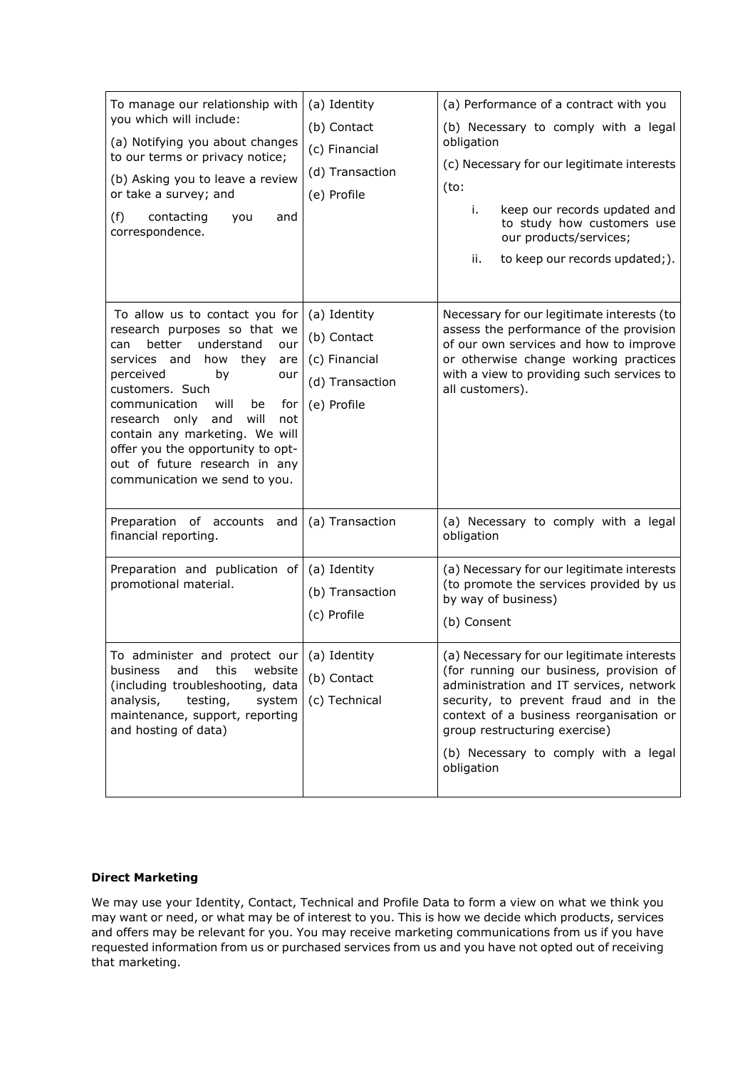| To manage our relationship with<br>you which will include:<br>(a) Notifying you about changes<br>to our terms or privacy notice;<br>(b) Asking you to leave a review<br>or take a survey; and<br>(f)<br>contacting<br>and<br>you<br>correspondence.                                                                                                                                                        | (a) Identity<br>(b) Contact<br>(c) Financial<br>(d) Transaction<br>(e) Profile | (a) Performance of a contract with you<br>(b) Necessary to comply with a legal<br>obligation<br>(c) Necessary for our legitimate interests<br>(to:<br>keep our records updated and<br>i.<br>to study how customers use<br>our products/services;<br>ii.<br>to keep our records updated;).                   |
|------------------------------------------------------------------------------------------------------------------------------------------------------------------------------------------------------------------------------------------------------------------------------------------------------------------------------------------------------------------------------------------------------------|--------------------------------------------------------------------------------|-------------------------------------------------------------------------------------------------------------------------------------------------------------------------------------------------------------------------------------------------------------------------------------------------------------|
| To allow us to contact you for<br>research purposes so that we<br>better<br>understand<br>can<br>our<br>how they<br>services and<br>are<br>perceived<br>by<br>our<br>customers. Such<br>communication<br>will<br>be<br>for<br>will<br>research only<br>and<br>not<br>contain any marketing. We will<br>offer you the opportunity to opt-<br>out of future research in any<br>communication we send to you. | (a) Identity<br>(b) Contact<br>(c) Financial<br>(d) Transaction<br>(e) Profile | Necessary for our legitimate interests (to<br>assess the performance of the provision<br>of our own services and how to improve<br>or otherwise change working practices<br>with a view to providing such services to<br>all customers).                                                                    |
| Preparation of accounts and<br>financial reporting.                                                                                                                                                                                                                                                                                                                                                        | (a) Transaction                                                                | (a) Necessary to comply with a legal<br>obligation                                                                                                                                                                                                                                                          |
| Preparation and publication of<br>promotional material.                                                                                                                                                                                                                                                                                                                                                    | (a) Identity<br>(b) Transaction<br>(c) Profile                                 | (a) Necessary for our legitimate interests<br>(to promote the services provided by us<br>by way of business)<br>(b) Consent                                                                                                                                                                                 |
| To administer and protect our $\int$ (a) Identity<br>and this website<br>business<br>(including troubleshooting, data<br>analysis,<br>testing,<br>system<br>maintenance, support, reporting<br>and hosting of data)                                                                                                                                                                                        | (b) Contact<br>(c) Technical                                                   | (a) Necessary for our legitimate interests<br>(for running our business, provision of<br>administration and IT services, network<br>security, to prevent fraud and in the<br>context of a business reorganisation or<br>group restructuring exercise)<br>(b) Necessary to comply with a legal<br>obligation |

## **Direct Marketing**

We may use your Identity, Contact, Technical and Profile Data to form a view on what we think you may want or need, or what may be of interest to you. This is how we decide which products, services and offers may be relevant for you. You may receive marketing communications from us if you have requested information from us or purchased services from us and you have not opted out of receiving that marketing.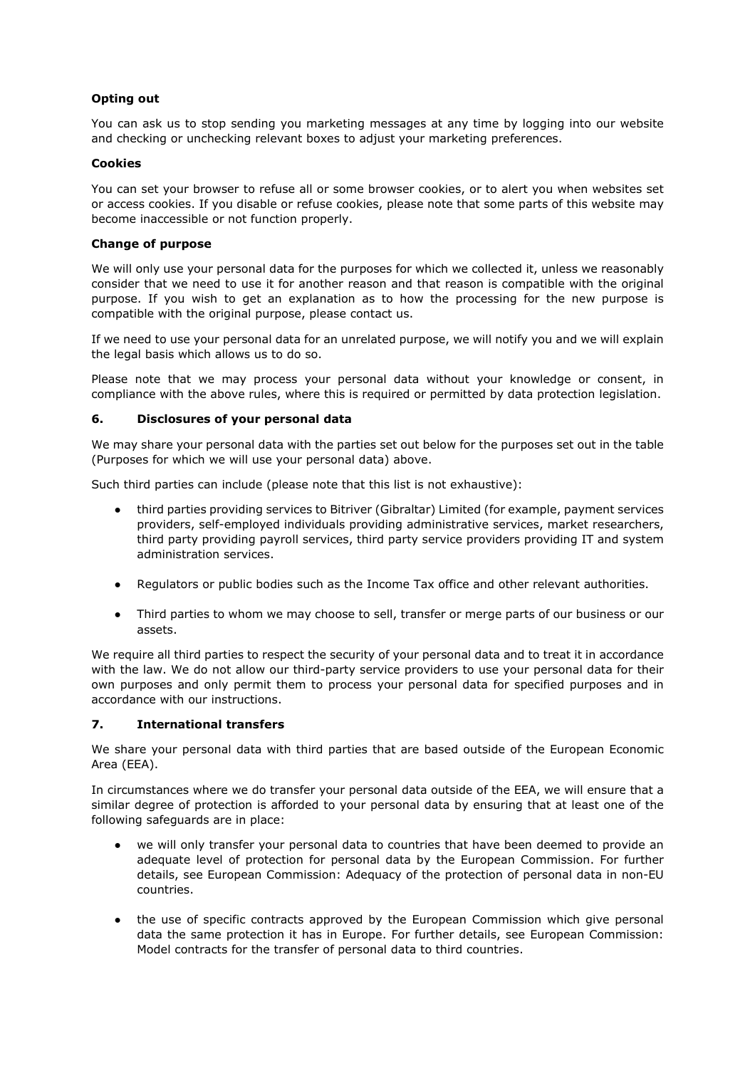# **Opting out**

You can ask us to stop sending you marketing messages at any time by logging into our website and checking or unchecking relevant boxes to adjust your marketing preferences.

### **Cookies**

You can set your browser to refuse all or some browser cookies, or to alert you when websites set or access cookies. If you disable or refuse cookies, please note that some parts of this website may become inaccessible or not function properly.

### **Change of purpose**

We will only use your personal data for the purposes for which we collected it, unless we reasonably consider that we need to use it for another reason and that reason is compatible with the original purpose. If you wish to get an explanation as to how the processing for the new purpose is compatible with the original purpose, please contact us.

If we need to use your personal data for an unrelated purpose, we will notify you and we will explain the legal basis which allows us to do so.

Please note that we may process your personal data without your knowledge or consent, in compliance with the above rules, where this is required or permitted by data protection legislation.

### **6. Disclosures of your personal data**

We may share your personal data with the parties set out below for the purposes set out in the table (Purposes for which we will use your personal data) above.

Such third parties can include (please note that this list is not exhaustive):

- third parties providing services to Bitriver (Gibraltar) Limited (for example, payment services providers, self-employed individuals providing administrative services, market researchers, third party providing payroll services, third party service providers providing IT and system administration services.
- Regulators or public bodies such as the Income Tax office and other relevant authorities.
- Third parties to whom we may choose to sell, transfer or merge parts of our business or our assets.

We require all third parties to respect the security of your personal data and to treat it in accordance with the law. We do not allow our third-party service providers to use your personal data for their own purposes and only permit them to process your personal data for specified purposes and in accordance with our instructions.

### **7. International transfers**

We share your personal data with third parties that are based outside of the European Economic Area (EEA).

In circumstances where we do transfer your personal data outside of the EEA, we will ensure that a similar degree of protection is afforded to your personal data by ensuring that at least one of the following safeguards are in place:

- we will only transfer your personal data to countries that have been deemed to provide an adequate level of protection for personal data by the European Commission. For further details, see European Commission: Adequacy of the protection of personal data in non-EU countries.
- the use of specific contracts approved by the European Commission which give personal data the same protection it has in Europe. For further details, see European Commission: Model contracts for the transfer of personal data to third countries.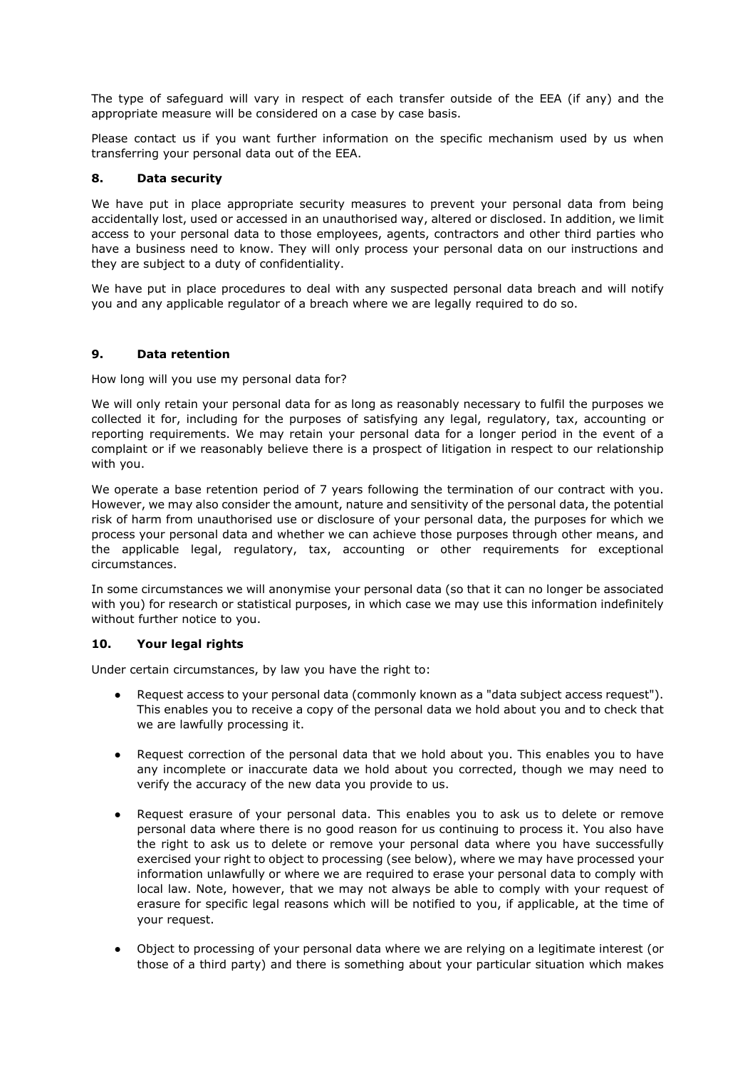The type of safeguard will vary in respect of each transfer outside of the EEA (if any) and the appropriate measure will be considered on a case by case basis.

Please contact us if you want further information on the specific mechanism used by us when transferring your personal data out of the EEA.

### **8. Data security**

We have put in place appropriate security measures to prevent your personal data from being accidentally lost, used or accessed in an unauthorised way, altered or disclosed. In addition, we limit access to your personal data to those employees, agents, contractors and other third parties who have a business need to know. They will only process your personal data on our instructions and they are subject to a duty of confidentiality.

We have put in place procedures to deal with any suspected personal data breach and will notify you and any applicable regulator of a breach where we are legally required to do so.

### **9. Data retention**

How long will you use my personal data for?

We will only retain your personal data for as long as reasonably necessary to fulfil the purposes we collected it for, including for the purposes of satisfying any legal, regulatory, tax, accounting or reporting requirements. We may retain your personal data for a longer period in the event of a complaint or if we reasonably believe there is a prospect of litigation in respect to our relationship with you.

We operate a base retention period of 7 years following the termination of our contract with you. However, we may also consider the amount, nature and sensitivity of the personal data, the potential risk of harm from unauthorised use or disclosure of your personal data, the purposes for which we process your personal data and whether we can achieve those purposes through other means, and the applicable legal, regulatory, tax, accounting or other requirements for exceptional circumstances.

In some circumstances we will anonymise your personal data (so that it can no longer be associated with you) for research or statistical purposes, in which case we may use this information indefinitely without further notice to you.

### **10. Your legal rights**

Under certain circumstances, by law you have the right to:

- Request access to your personal data (commonly known as a "data subject access request"). This enables you to receive a copy of the personal data we hold about you and to check that we are lawfully processing it.
- Request correction of the personal data that we hold about you. This enables you to have any incomplete or inaccurate data we hold about you corrected, though we may need to verify the accuracy of the new data you provide to us.
- Request erasure of your personal data. This enables you to ask us to delete or remove personal data where there is no good reason for us continuing to process it. You also have the right to ask us to delete or remove your personal data where you have successfully exercised your right to object to processing (see below), where we may have processed your information unlawfully or where we are required to erase your personal data to comply with local law. Note, however, that we may not always be able to comply with your request of erasure for specific legal reasons which will be notified to you, if applicable, at the time of your request.
- Object to processing of your personal data where we are relying on a legitimate interest (or those of a third party) and there is something about your particular situation which makes